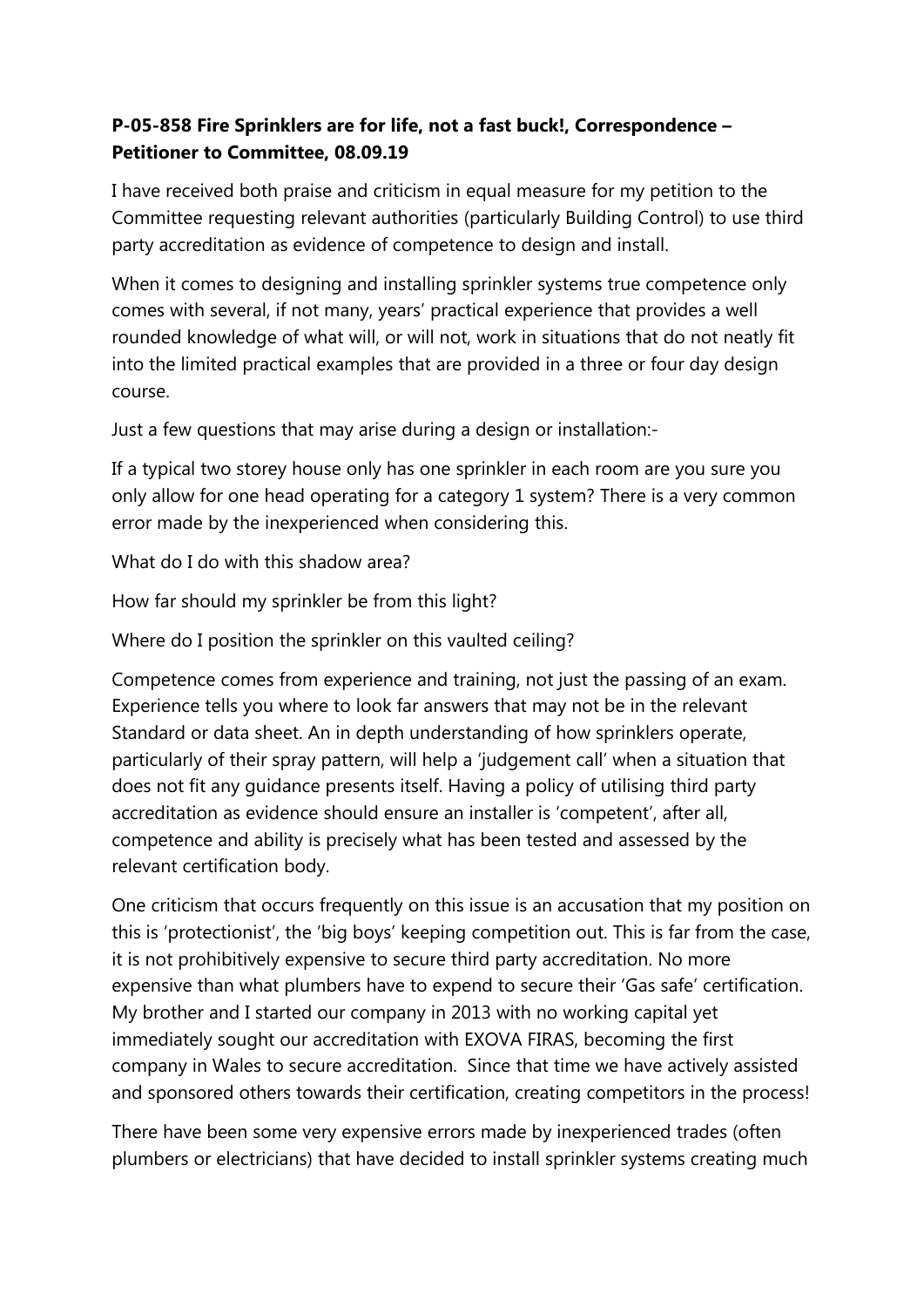## **P-05-858 Fire Sprinklers are for life, not a fast buck!, Correspondence – Petitioner to Committee, 08.09.19**

I have received both praise and criticism in equal measure for my petition to the Committee requesting relevant authorities (particularly Building Control) to use third party accreditation as evidence of competence to design and install.

When it comes to designing and installing sprinkler systems true competence only comes with several, if not many, years' practical experience that provides a well rounded knowledge of what will, or will not, work in situations that do not neatly fit into the limited practical examples that are provided in a three or four day design course.

Just a few questions that may arise during a design or installation:-

If a typical two storey house only has one sprinkler in each room are you sure you only allow for one head operating for a category 1 system? There is a very common error made by the inexperienced when considering this.

What do I do with this shadow area?

How far should my sprinkler be from this light?

Where do I position the sprinkler on this vaulted ceiling?

Competence comes from experience and training, not just the passing of an exam. Experience tells you where to look far answers that may not be in the relevant Standard or data sheet. An in depth understanding of how sprinklers operate, particularly of their spray pattern, will help a 'judgement call' when a situation that does not fit any guidance presents itself. Having a policy of utilising third party accreditation as evidence should ensure an installer is 'competent', after all, competence and ability is precisely what has been tested and assessed by the relevant certification body.

One criticism that occurs frequently on this issue is an accusation that my position on this is 'protectionist', the 'big boys' keeping competition out. This is far from the case, it is not prohibitively expensive to secure third party accreditation. No more expensive than what plumbers have to expend to secure their 'Gas safe' certification. My brother and I started our company in 2013 with no working capital yet immediately sought our accreditation with EXOVA FIRAS, becoming the first company in Wales to secure accreditation. Since that time we have actively assisted and sponsored others towards their certification, creating competitors in the process!

There have been some very expensive errors made by inexperienced trades (often plumbers or electricians) that have decided to install sprinkler systems creating much